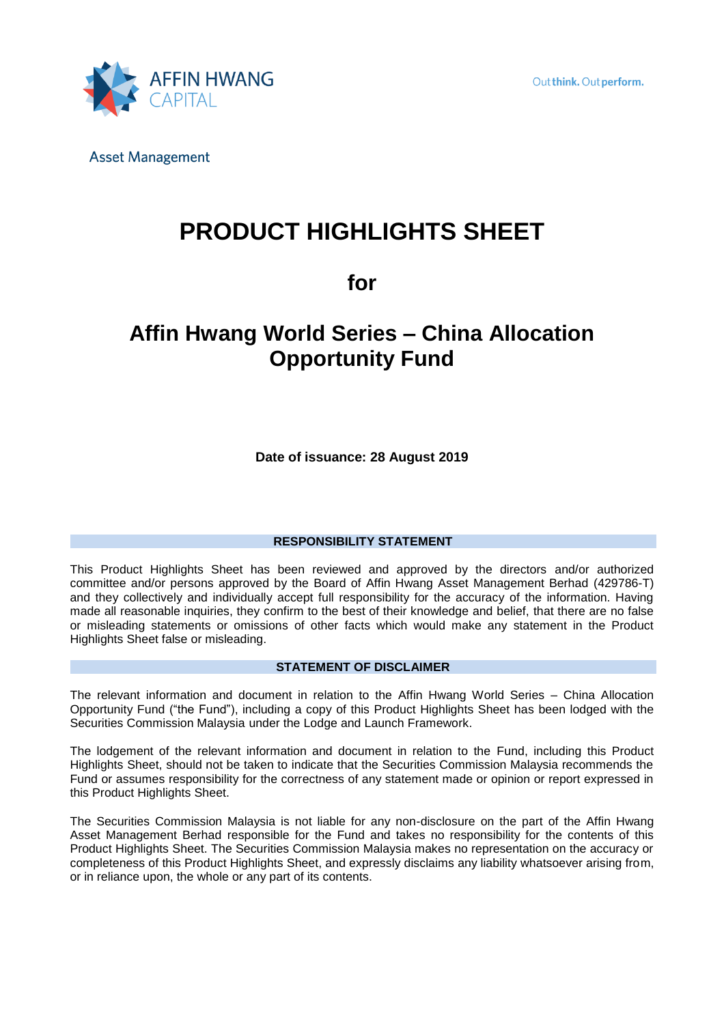

# **PRODUCT HIGHLIGHTS SHEET**

**for** 

# **Affin Hwang World Series – China Allocation Opportunity Fund**

**Date of issuance: 28 August 2019**

### **RESPONSIBILITY STATEMENT**

This Product Highlights Sheet has been reviewed and approved by the directors and/or authorized committee and/or persons approved by the Board of Affin Hwang Asset Management Berhad (429786-T) and they collectively and individually accept full responsibility for the accuracy of the information. Having made all reasonable inquiries, they confirm to the best of their knowledge and belief, that there are no false or misleading statements or omissions of other facts which would make any statement in the Product Highlights Sheet false or misleading.

#### **STATEMENT OF DISCLAIMER**

The relevant information and document in relation to the Affin Hwang World Series – China Allocation Opportunity Fund ("the Fund"), including a copy of this Product Highlights Sheet has been lodged with the Securities Commission Malaysia under the Lodge and Launch Framework.

The lodgement of the relevant information and document in relation to the Fund, including this Product Highlights Sheet, should not be taken to indicate that the Securities Commission Malaysia recommends the Fund or assumes responsibility for the correctness of any statement made or opinion or report expressed in this Product Highlights Sheet.

The Securities Commission Malaysia is not liable for any non-disclosure on the part of the Affin Hwang Asset Management Berhad responsible for the Fund and takes no responsibility for the contents of this Product Highlights Sheet. The Securities Commission Malaysia makes no representation on the accuracy or completeness of this Product Highlights Sheet, and expressly disclaims any liability whatsoever arising from, or in reliance upon, the whole or any part of its contents.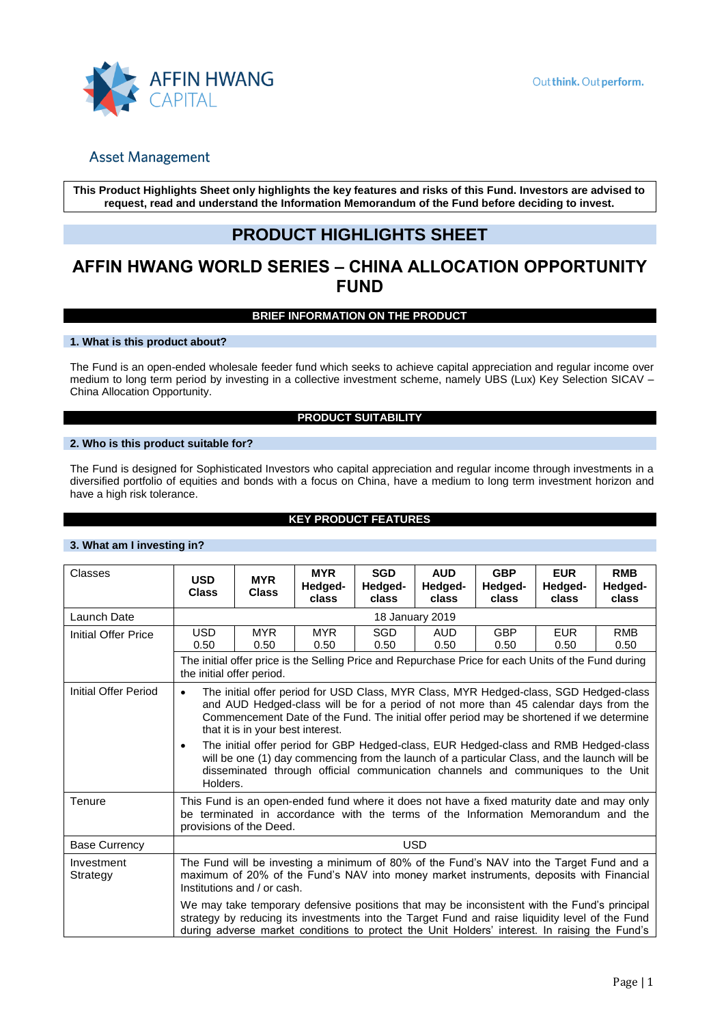

**This Product Highlights Sheet only highlights the key features and risks of this Fund. Investors are advised to request, read and understand the Information Memorandum of the Fund before deciding to invest.**

# **PRODUCT HIGHLIGHTS SHEET**

# **AFFIN HWANG WORLD SERIES – CHINA ALLOCATION OPPORTUNITY FUND**

#### **BRIEF INFORMATION ON THE PRODUCT**

#### **1. What is this product about?**

The Fund is an open-ended wholesale feeder fund which seeks to achieve capital appreciation and regular income over medium to long term period by investing in a collective investment scheme, namely UBS (Lux) Key Selection SICAV – China Allocation Opportunity.

#### **PRODUCT SUITABILITY**

#### **2. Who is this product suitable for?**

The Fund is designed for Sophisticated Investors who capital appreciation and regular income through investments in a diversified portfolio of equities and bonds with a focus on China, have a medium to long term investment horizon and have a high risk tolerance.

### **KEY PRODUCT FEATURES**

#### **3. What am I investing in?**

| Classes                                                                                                                          | <b>USD</b><br><b>Class</b>                                                                                                                                                                                           | <b>MYR</b><br><b>Class</b>                                                                                                                                                                                                                                                                                                                                                                                                                                                                                                                                                                 | <b>MYR</b><br>Hedged-<br>class | <b>SGD</b><br>Hedged-<br>class                                                                                                                                                                                                                                                                   | <b>AUD</b><br>Hedged-<br>class | <b>GBP</b><br>Hedged-<br>class | <b>EUR</b><br>Hedged-<br>class | <b>RMB</b><br>Hedged-<br>class |
|----------------------------------------------------------------------------------------------------------------------------------|----------------------------------------------------------------------------------------------------------------------------------------------------------------------------------------------------------------------|--------------------------------------------------------------------------------------------------------------------------------------------------------------------------------------------------------------------------------------------------------------------------------------------------------------------------------------------------------------------------------------------------------------------------------------------------------------------------------------------------------------------------------------------------------------------------------------------|--------------------------------|--------------------------------------------------------------------------------------------------------------------------------------------------------------------------------------------------------------------------------------------------------------------------------------------------|--------------------------------|--------------------------------|--------------------------------|--------------------------------|
| Launch Date                                                                                                                      | 18 January 2019                                                                                                                                                                                                      |                                                                                                                                                                                                                                                                                                                                                                                                                                                                                                                                                                                            |                                |                                                                                                                                                                                                                                                                                                  |                                |                                |                                |                                |
| Initial Offer Price                                                                                                              | USD<br>0.50                                                                                                                                                                                                          | <b>MYR</b><br>0.50                                                                                                                                                                                                                                                                                                                                                                                                                                                                                                                                                                         | <b>MYR</b><br>0.50             | SGD<br>0.50                                                                                                                                                                                                                                                                                      | <b>AUD</b><br>0.50             | <b>GBP</b><br>0.50             | <b>EUR</b><br>0.50             | <b>RMB</b><br>0.50             |
| The initial offer price is the Selling Price and Repurchase Price for each Units of the Fund during<br>the initial offer period. |                                                                                                                                                                                                                      |                                                                                                                                                                                                                                                                                                                                                                                                                                                                                                                                                                                            |                                |                                                                                                                                                                                                                                                                                                  |                                |                                |                                |                                |
| Initial Offer Period                                                                                                             | $\bullet$<br>٠                                                                                                                                                                                                       | The initial offer period for USD Class, MYR Class, MYR Hedged-class, SGD Hedged-class<br>and AUD Hedged-class will be for a period of not more than 45 calendar days from the<br>Commencement Date of the Fund. The initial offer period may be shortened if we determine<br>that it is in your best interest.<br>The initial offer period for GBP Hedged-class, EUR Hedged-class and RMB Hedged-class<br>will be one (1) day commencing from the launch of a particular Class, and the launch will be<br>disseminated through official communication channels and communiques to the Unit |                                |                                                                                                                                                                                                                                                                                                  |                                |                                |                                |                                |
| Tenure                                                                                                                           | Holders.<br>This Fund is an open-ended fund where it does not have a fixed maturity date and may only<br>be terminated in accordance with the terms of the Information Memorandum and the<br>provisions of the Deed. |                                                                                                                                                                                                                                                                                                                                                                                                                                                                                                                                                                                            |                                |                                                                                                                                                                                                                                                                                                  |                                |                                |                                |                                |
| <b>Base Currency</b>                                                                                                             | <b>USD</b>                                                                                                                                                                                                           |                                                                                                                                                                                                                                                                                                                                                                                                                                                                                                                                                                                            |                                |                                                                                                                                                                                                                                                                                                  |                                |                                |                                |                                |
| Investment<br>Strategy                                                                                                           | The Fund will be investing a minimum of 80% of the Fund's NAV into the Target Fund and a<br>maximum of 20% of the Fund's NAV into money market instruments, deposits with Financial<br>Institutions and / or cash.   |                                                                                                                                                                                                                                                                                                                                                                                                                                                                                                                                                                                            |                                |                                                                                                                                                                                                                                                                                                  |                                |                                |                                |                                |
|                                                                                                                                  |                                                                                                                                                                                                                      |                                                                                                                                                                                                                                                                                                                                                                                                                                                                                                                                                                                            |                                | We may take temporary defensive positions that may be inconsistent with the Fund's principal<br>strategy by reducing its investments into the Target Fund and raise liquidity level of the Fund<br>during adverse market conditions to protect the Unit Holders' interest. In raising the Fund's |                                |                                |                                |                                |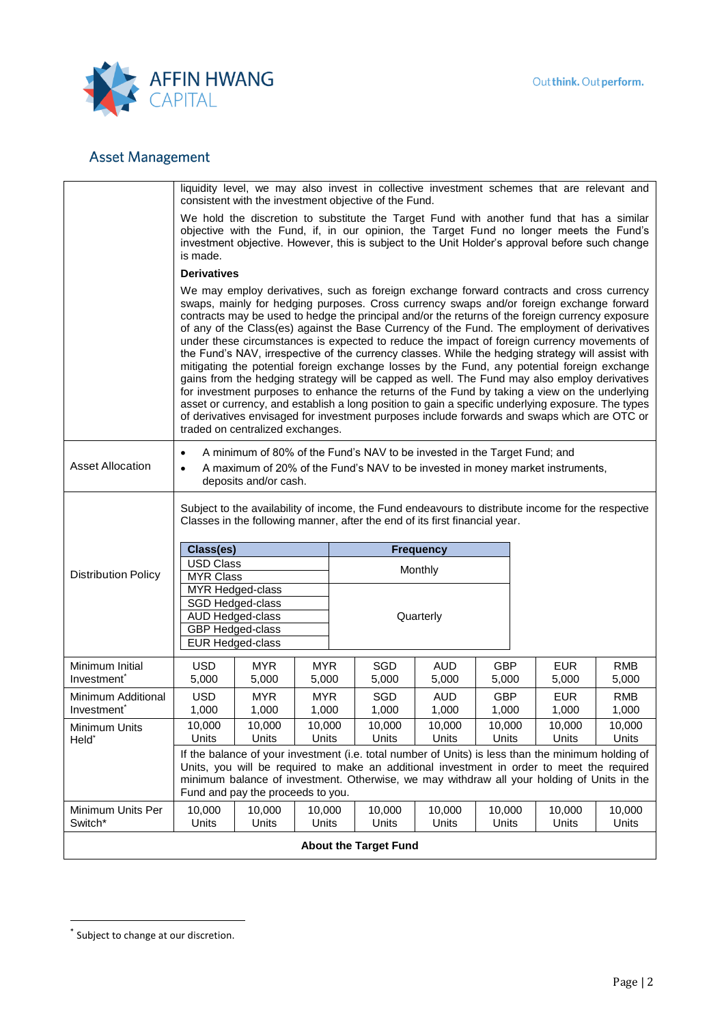

|                                            | liquidity level, we may also invest in collective investment schemes that are relevant and<br>consistent with the investment objective of the Fund.                                                                                                                                                                                                                                                                                                                                                                                                                                                                                                                                                                                                                                                                                                                                                                                                                                                                                                                                                                                     |                                                                                                                                                                                                                                                                                                                                     |                     |  |                              |                     |                     |                     |                     |  |
|--------------------------------------------|-----------------------------------------------------------------------------------------------------------------------------------------------------------------------------------------------------------------------------------------------------------------------------------------------------------------------------------------------------------------------------------------------------------------------------------------------------------------------------------------------------------------------------------------------------------------------------------------------------------------------------------------------------------------------------------------------------------------------------------------------------------------------------------------------------------------------------------------------------------------------------------------------------------------------------------------------------------------------------------------------------------------------------------------------------------------------------------------------------------------------------------------|-------------------------------------------------------------------------------------------------------------------------------------------------------------------------------------------------------------------------------------------------------------------------------------------------------------------------------------|---------------------|--|------------------------------|---------------------|---------------------|---------------------|---------------------|--|
|                                            | We hold the discretion to substitute the Target Fund with another fund that has a similar<br>objective with the Fund, if, in our opinion, the Target Fund no longer meets the Fund's<br>investment objective. However, this is subject to the Unit Holder's approval before such change<br>is made.                                                                                                                                                                                                                                                                                                                                                                                                                                                                                                                                                                                                                                                                                                                                                                                                                                     |                                                                                                                                                                                                                                                                                                                                     |                     |  |                              |                     |                     |                     |                     |  |
|                                            |                                                                                                                                                                                                                                                                                                                                                                                                                                                                                                                                                                                                                                                                                                                                                                                                                                                                                                                                                                                                                                                                                                                                         | <b>Derivatives</b>                                                                                                                                                                                                                                                                                                                  |                     |  |                              |                     |                     |                     |                     |  |
|                                            | We may employ derivatives, such as foreign exchange forward contracts and cross currency<br>swaps, mainly for hedging purposes. Cross currency swaps and/or foreign exchange forward<br>contracts may be used to hedge the principal and/or the returns of the foreign currency exposure<br>of any of the Class(es) against the Base Currency of the Fund. The employment of derivatives<br>under these circumstances is expected to reduce the impact of foreign currency movements of<br>the Fund's NAV, irrespective of the currency classes. While the hedging strategy will assist with<br>mitigating the potential foreign exchange losses by the Fund, any potential foreign exchange<br>gains from the hedging strategy will be capped as well. The Fund may also employ derivatives<br>for investment purposes to enhance the returns of the Fund by taking a view on the underlying<br>asset or currency, and establish a long position to gain a specific underlying exposure. The types<br>of derivatives envisaged for investment purposes include forwards and swaps which are OTC or<br>traded on centralized exchanges. |                                                                                                                                                                                                                                                                                                                                     |                     |  |                              |                     |                     |                     |                     |  |
| <b>Asset Allocation</b>                    | A minimum of 80% of the Fund's NAV to be invested in the Target Fund; and<br>A maximum of 20% of the Fund's NAV to be invested in money market instruments,<br>٠<br>deposits and/or cash.                                                                                                                                                                                                                                                                                                                                                                                                                                                                                                                                                                                                                                                                                                                                                                                                                                                                                                                                               |                                                                                                                                                                                                                                                                                                                                     |                     |  |                              |                     |                     |                     |                     |  |
|                                            | Subject to the availability of income, the Fund endeavours to distribute income for the respective<br>Classes in the following manner, after the end of its first financial year.<br>Class(es)<br><b>Frequency</b>                                                                                                                                                                                                                                                                                                                                                                                                                                                                                                                                                                                                                                                                                                                                                                                                                                                                                                                      |                                                                                                                                                                                                                                                                                                                                     |                     |  |                              |                     |                     |                     |                     |  |
|                                            | <b>USD Class</b>                                                                                                                                                                                                                                                                                                                                                                                                                                                                                                                                                                                                                                                                                                                                                                                                                                                                                                                                                                                                                                                                                                                        |                                                                                                                                                                                                                                                                                                                                     |                     |  |                              | Monthly             |                     |                     |                     |  |
| <b>Distribution Policy</b>                 |                                                                                                                                                                                                                                                                                                                                                                                                                                                                                                                                                                                                                                                                                                                                                                                                                                                                                                                                                                                                                                                                                                                                         | <b>MYR Class</b><br>MYR Hedged-class                                                                                                                                                                                                                                                                                                |                     |  |                              |                     |                     |                     |                     |  |
|                                            |                                                                                                                                                                                                                                                                                                                                                                                                                                                                                                                                                                                                                                                                                                                                                                                                                                                                                                                                                                                                                                                                                                                                         | SGD Hedged-class                                                                                                                                                                                                                                                                                                                    |                     |  |                              |                     |                     |                     |                     |  |
|                                            |                                                                                                                                                                                                                                                                                                                                                                                                                                                                                                                                                                                                                                                                                                                                                                                                                                                                                                                                                                                                                                                                                                                                         | AUD Hedged-class                                                                                                                                                                                                                                                                                                                    |                     |  |                              | Quarterly           |                     |                     |                     |  |
|                                            |                                                                                                                                                                                                                                                                                                                                                                                                                                                                                                                                                                                                                                                                                                                                                                                                                                                                                                                                                                                                                                                                                                                                         | <b>GBP</b> Hedged-class<br><b>EUR Hedged-class</b>                                                                                                                                                                                                                                                                                  |                     |  |                              |                     |                     |                     |                     |  |
|                                            |                                                                                                                                                                                                                                                                                                                                                                                                                                                                                                                                                                                                                                                                                                                                                                                                                                                                                                                                                                                                                                                                                                                                         |                                                                                                                                                                                                                                                                                                                                     |                     |  |                              |                     |                     |                     |                     |  |
| Minimum Initial<br>Investment <sup>®</sup> | <b>USD</b><br>5,000                                                                                                                                                                                                                                                                                                                                                                                                                                                                                                                                                                                                                                                                                                                                                                                                                                                                                                                                                                                                                                                                                                                     | <b>MYR</b><br>5,000                                                                                                                                                                                                                                                                                                                 | <b>MYR</b><br>5,000 |  | SGD<br>5,000                 | <b>AUD</b><br>5,000 | <b>GBP</b><br>5,000 | <b>EUR</b><br>5,000 | <b>RMB</b><br>5,000 |  |
| Minimum Additional                         | <b>USD</b>                                                                                                                                                                                                                                                                                                                                                                                                                                                                                                                                                                                                                                                                                                                                                                                                                                                                                                                                                                                                                                                                                                                              | <b>MYR</b>                                                                                                                                                                                                                                                                                                                          | <b>MYR</b>          |  | SGD                          | <b>AUD</b>          | <b>GBP</b>          | <b>EUR</b>          | <b>RMB</b>          |  |
| Investment <sup>®</sup>                    | 1,000                                                                                                                                                                                                                                                                                                                                                                                                                                                                                                                                                                                                                                                                                                                                                                                                                                                                                                                                                                                                                                                                                                                                   | 1,000                                                                                                                                                                                                                                                                                                                               | 1,000               |  | 1,000                        | 1,000               | 1,000               | 1,000               | 1,000               |  |
| Minimum Units                              | 10,000<br><b>Units</b>                                                                                                                                                                                                                                                                                                                                                                                                                                                                                                                                                                                                                                                                                                                                                                                                                                                                                                                                                                                                                                                                                                                  | 10,000                                                                                                                                                                                                                                                                                                                              | 10,000              |  | 10,000                       | 10,000              | 10,000              | 10,000              | 10,000              |  |
| Held <sup>*</sup>                          |                                                                                                                                                                                                                                                                                                                                                                                                                                                                                                                                                                                                                                                                                                                                                                                                                                                                                                                                                                                                                                                                                                                                         | Units                                                                                                                                                                                                                                                                                                                               | Units               |  | Units                        | Units               | Units               | Units               | Units               |  |
|                                            |                                                                                                                                                                                                                                                                                                                                                                                                                                                                                                                                                                                                                                                                                                                                                                                                                                                                                                                                                                                                                                                                                                                                         | If the balance of your investment (i.e. total number of Units) is less than the minimum holding of<br>Units, you will be required to make an additional investment in order to meet the required<br>minimum balance of investment. Otherwise, we may withdraw all your holding of Units in the<br>Fund and pay the proceeds to you. |                     |  |                              |                     |                     |                     |                     |  |
| Minimum Units Per<br>Switch*               | 10,000<br>Units                                                                                                                                                                                                                                                                                                                                                                                                                                                                                                                                                                                                                                                                                                                                                                                                                                                                                                                                                                                                                                                                                                                         | 10,000<br>Units                                                                                                                                                                                                                                                                                                                     | 10,000<br>Units     |  | 10,000<br>Units              | 10,000<br>Units     | 10,000<br>Units     | 10,000<br>Units     | 10,000<br>Units     |  |
|                                            |                                                                                                                                                                                                                                                                                                                                                                                                                                                                                                                                                                                                                                                                                                                                                                                                                                                                                                                                                                                                                                                                                                                                         |                                                                                                                                                                                                                                                                                                                                     |                     |  |                              |                     |                     |                     |                     |  |
|                                            |                                                                                                                                                                                                                                                                                                                                                                                                                                                                                                                                                                                                                                                                                                                                                                                                                                                                                                                                                                                                                                                                                                                                         |                                                                                                                                                                                                                                                                                                                                     |                     |  | <b>About the Target Fund</b> |                     |                     |                     |                     |  |

 $\overline{a}$ 

<sup>\*</sup> Subject to change at our discretion.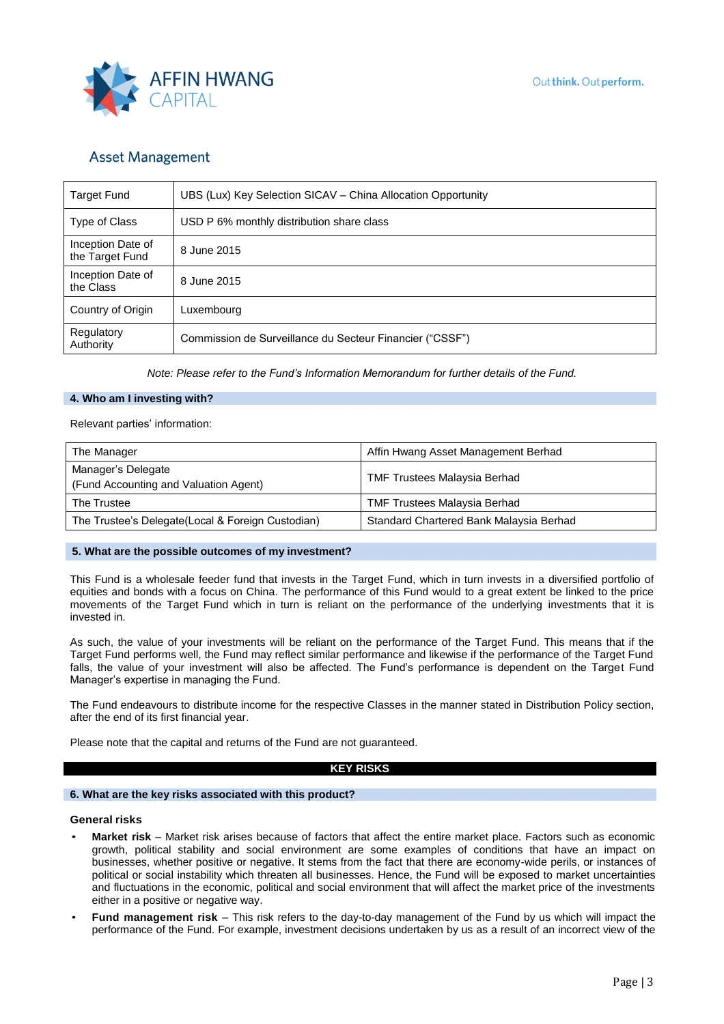

| <b>Target Fund</b>                   | UBS (Lux) Key Selection SICAV – China Allocation Opportunity |  |  |  |
|--------------------------------------|--------------------------------------------------------------|--|--|--|
| Type of Class                        | USD P 6% monthly distribution share class                    |  |  |  |
| Inception Date of<br>the Target Fund | 8 June 2015                                                  |  |  |  |
| Inception Date of<br>the Class       | 8 June 2015                                                  |  |  |  |
| Country of Origin                    | Luxembourg                                                   |  |  |  |
| Regulatory<br>Authority              | Commission de Surveillance du Secteur Financier ("CSSF")     |  |  |  |

*Note: Please refer to the Fund's Information Memorandum for further details of the Fund.*

#### **4. Who am I investing with?**

Relevant parties' information:

| The Manager                                                 | Affin Hwang Asset Management Berhad     |
|-------------------------------------------------------------|-----------------------------------------|
| Manager's Delegate<br>(Fund Accounting and Valuation Agent) | <b>TMF Trustees Malaysia Berhad</b>     |
| The Trustee                                                 | <b>TMF Trustees Malaysia Berhad</b>     |
| The Trustee's Delegate(Local & Foreign Custodian)           | Standard Chartered Bank Malaysia Berhad |

#### **5. What are the possible outcomes of my investment?**

This Fund is a wholesale feeder fund that invests in the Target Fund, which in turn invests in a diversified portfolio of equities and bonds with a focus on China. The performance of this Fund would to a great extent be linked to the price movements of the Target Fund which in turn is reliant on the performance of the underlying investments that it is invested in.

As such, the value of your investments will be reliant on the performance of the Target Fund. This means that if the Target Fund performs well, the Fund may reflect similar performance and likewise if the performance of the Target Fund falls, the value of your investment will also be affected. The Fund's performance is dependent on the Target Fund Manager's expertise in managing the Fund.

The Fund endeavours to distribute income for the respective Classes in the manner stated in Distribution Policy section, after the end of its first financial year.

Please note that the capital and returns of the Fund are not guaranteed.

#### **KEY RISKS**

#### **6. What are the key risks associated with this product?**

#### **General risks**

- **Market risk** Market risk arises because of factors that affect the entire market place. Factors such as economic growth, political stability and social environment are some examples of conditions that have an impact on businesses, whether positive or negative. It stems from the fact that there are economy-wide perils, or instances of political or social instability which threaten all businesses. Hence, the Fund will be exposed to market uncertainties and fluctuations in the economic, political and social environment that will affect the market price of the investments either in a positive or negative way.
- **Fund management risk**  This risk refers to the day-to-day management of the Fund by us which will impact the performance of the Fund. For example, investment decisions undertaken by us as a result of an incorrect view of the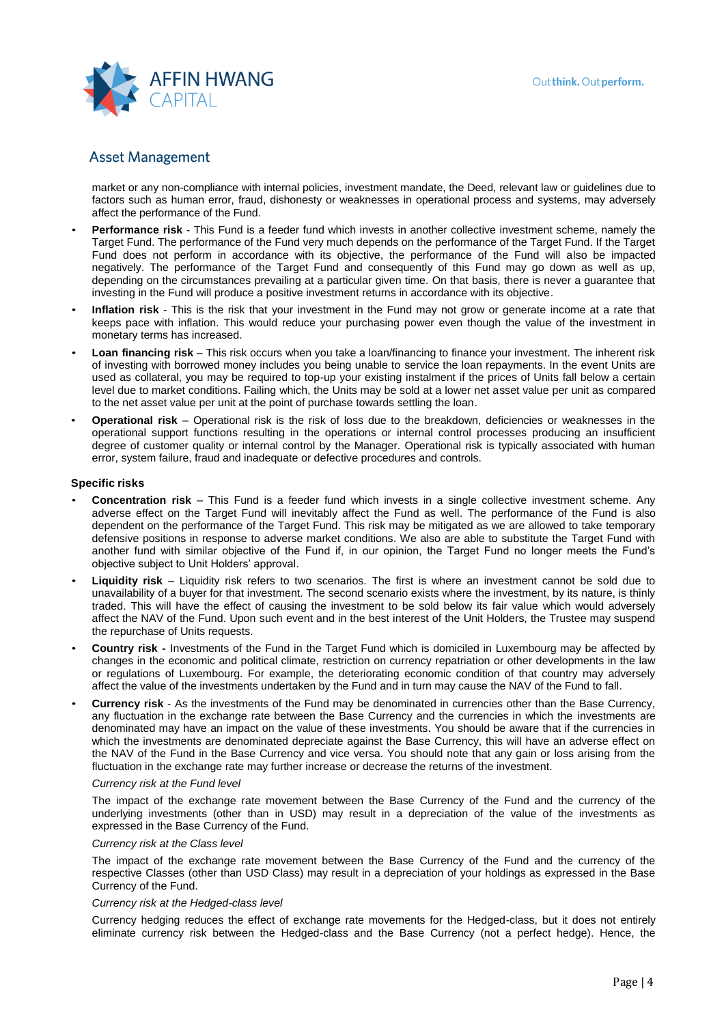

market or any non-compliance with internal policies, investment mandate, the Deed, relevant law or guidelines due to factors such as human error, fraud, dishonesty or weaknesses in operational process and systems, may adversely affect the performance of the Fund.

- **Performance risk** This Fund is a feeder fund which invests in another collective investment scheme, namely the Target Fund. The performance of the Fund very much depends on the performance of the Target Fund. If the Target Fund does not perform in accordance with its objective, the performance of the Fund will also be impacted negatively. The performance of the Target Fund and consequently of this Fund may go down as well as up, depending on the circumstances prevailing at a particular given time. On that basis, there is never a guarantee that investing in the Fund will produce a positive investment returns in accordance with its objective.
- **Inflation risk** This is the risk that your investment in the Fund may not grow or generate income at a rate that keeps pace with inflation. This would reduce your purchasing power even though the value of the investment in monetary terms has increased.
- **Loan financing risk** This risk occurs when you take a loan/financing to finance your investment. The inherent risk of investing with borrowed money includes you being unable to service the loan repayments. In the event Units are used as collateral, you may be required to top-up your existing instalment if the prices of Units fall below a certain level due to market conditions. Failing which, the Units may be sold at a lower net asset value per unit as compared to the net asset value per unit at the point of purchase towards settling the loan.
- **Operational risk**  Operational risk is the risk of loss due to the breakdown, deficiencies or weaknesses in the operational support functions resulting in the operations or internal control processes producing an insufficient degree of customer quality or internal control by the Manager. Operational risk is typically associated with human error, system failure, fraud and inadequate or defective procedures and controls.

#### **Specific risks**

- **Concentration risk**  This Fund is a feeder fund which invests in a single collective investment scheme. Any adverse effect on the Target Fund will inevitably affect the Fund as well. The performance of the Fund is also dependent on the performance of the Target Fund. This risk may be mitigated as we are allowed to take temporary defensive positions in response to adverse market conditions. We also are able to substitute the Target Fund with another fund with similar objective of the Fund if, in our opinion, the Target Fund no longer meets the Fund's objective subject to Unit Holders' approval.
- **Liquidity risk**  Liquidity risk refers to two scenarios. The first is where an investment cannot be sold due to unavailability of a buyer for that investment. The second scenario exists where the investment, by its nature, is thinly traded. This will have the effect of causing the investment to be sold below its fair value which would adversely affect the NAV of the Fund. Upon such event and in the best interest of the Unit Holders, the Trustee may suspend the repurchase of Units requests.
- **Country risk -** Investments of the Fund in the Target Fund which is domiciled in Luxembourg may be affected by changes in the economic and political climate, restriction on currency repatriation or other developments in the law or regulations of Luxembourg. For example, the deteriorating economic condition of that country may adversely affect the value of the investments undertaken by the Fund and in turn may cause the NAV of the Fund to fall.
- **Currency risk** As the investments of the Fund may be denominated in currencies other than the Base Currency, any fluctuation in the exchange rate between the Base Currency and the currencies in which the investments are denominated may have an impact on the value of these investments. You should be aware that if the currencies in which the investments are denominated depreciate against the Base Currency, this will have an adverse effect on the NAV of the Fund in the Base Currency and vice versa. You should note that any gain or loss arising from the fluctuation in the exchange rate may further increase or decrease the returns of the investment.

#### *Currency risk at the Fund level*

The impact of the exchange rate movement between the Base Currency of the Fund and the currency of the underlying investments (other than in USD) may result in a depreciation of the value of the investments as expressed in the Base Currency of the Fund.

#### *Currency risk at the Class level*

The impact of the exchange rate movement between the Base Currency of the Fund and the currency of the respective Classes (other than USD Class) may result in a depreciation of your holdings as expressed in the Base Currency of the Fund.

#### *Currency risk at the Hedged-class level*

Currency hedging reduces the effect of exchange rate movements for the Hedged-class, but it does not entirely eliminate currency risk between the Hedged-class and the Base Currency (not a perfect hedge). Hence, the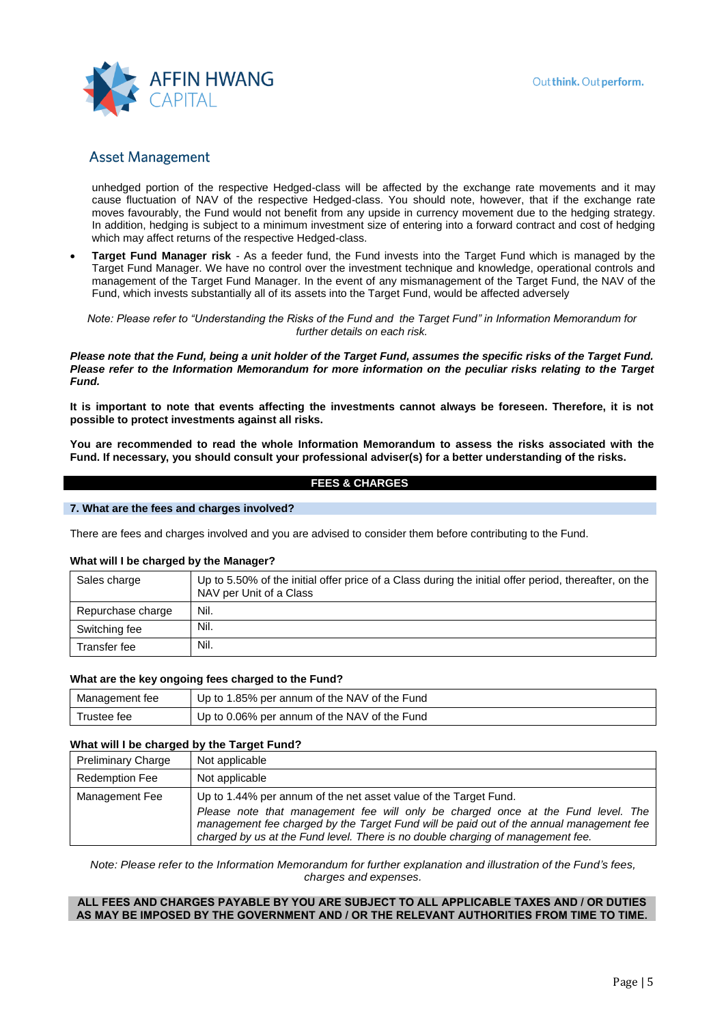

unhedged portion of the respective Hedged-class will be affected by the exchange rate movements and it may cause fluctuation of NAV of the respective Hedged-class. You should note, however, that if the exchange rate moves favourably, the Fund would not benefit from any upside in currency movement due to the hedging strategy. In addition, hedging is subject to a minimum investment size of entering into a forward contract and cost of hedging which may affect returns of the respective Hedged-class.

• **Target Fund Manager risk** - As a feeder fund, the Fund invests into the Target Fund which is managed by the Target Fund Manager. We have no control over the investment technique and knowledge, operational controls and management of the Target Fund Manager. In the event of any mismanagement of the Target Fund, the NAV of the Fund, which invests substantially all of its assets into the Target Fund, would be affected adversely

*Note: Please refer to "Understanding the Risks of the Fund and the Target Fund" in Information Memorandum for further details on each risk.*

*Please note that the Fund, being a unit holder of the Target Fund, assumes the specific risks of the Target Fund. Please refer to the Information Memorandum for more information on the peculiar risks relating to the Target Fund.*

**It is important to note that events affecting the investments cannot always be foreseen. Therefore, it is not possible to protect investments against all risks.** 

**You are recommended to read the whole Information Memorandum to assess the risks associated with the Fund. If necessary, you should consult your professional adviser(s) for a better understanding of the risks.** 

#### **FEES & CHARGES**

#### **7. What are the fees and charges involved?**

There are fees and charges involved and you are advised to consider them before contributing to the Fund.

#### **What will I be charged by the Manager?**

| Sales charge      | Up to 5.50% of the initial offer price of a Class during the initial offer period, thereafter, on the<br>NAV per Unit of a Class |
|-------------------|----------------------------------------------------------------------------------------------------------------------------------|
| Repurchase charge | Nil.                                                                                                                             |
| Switching fee     | Nil.                                                                                                                             |
| Transfer fee      | Nil.                                                                                                                             |

#### **What are the key ongoing fees charged to the Fund?**

| Management fee | Up to 1.85% per annum of the NAV of the Fund |
|----------------|----------------------------------------------|
| Trustee fee    | Up to 0.06% per annum of the NAV of the Fund |

#### **What will I be charged by the Target Fund?**

| <b>Preliminary Charge</b> | Not applicable                                                                                                                                                                                                                                                                                                                     |
|---------------------------|------------------------------------------------------------------------------------------------------------------------------------------------------------------------------------------------------------------------------------------------------------------------------------------------------------------------------------|
| <b>Redemption Fee</b>     | Not applicable                                                                                                                                                                                                                                                                                                                     |
| Management Fee            | Up to 1.44% per annum of the net asset value of the Target Fund.<br>Please note that management fee will only be charged once at the Fund level. The<br>management fee charged by the Target Fund will be paid out of the annual management fee<br>charged by us at the Fund level. There is no double charging of management fee. |

*Note: Please refer to the Information Memorandum for further explanation and illustration of the Fund's fees, charges and expenses.*

#### **ALL FEES AND CHARGES PAYABLE BY YOU ARE SUBJECT TO ALL APPLICABLE TAXES AND / OR DUTIES AS MAY BE IMPOSED BY THE GOVERNMENT AND / OR THE RELEVANT AUTHORITIES FROM TIME TO TIME.**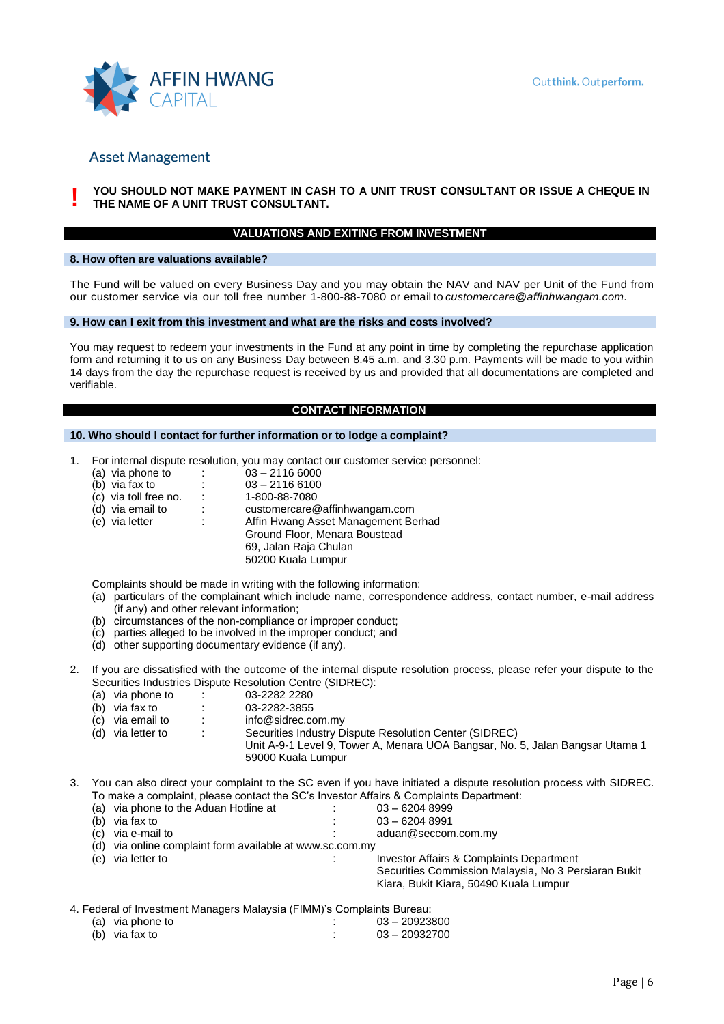

**!**

#### YOU SHOULD NOT MAKE PAYMENT IN CASH TO A UNIT TRUST CONSULTANT OR ISSUE A CHEQUE IN **THE NAME OF A UNIT TRUST CONSULTANT.**

# **VALUATIONS AND EXITING FROM INVESTMENT**

#### **8. How often are valuations available?**

The Fund will be valued on every Business Day and you may obtain the NAV and NAV per Unit of the Fund from our customer service via our toll free number 1-800-88-7080 or email to *[customercare@affinhwangam.com](mailto:customercare@affinhwangam.com.)*.

#### **9. How can I exit from this investment and what are the risks and costs involved?**

You may request to redeem your investments in the Fund at any point in time by completing the repurchase application form and returning it to us on any Business Day between 8.45 a.m. and 3.30 p.m. Payments will be made to you within 14 days from the day the repurchase request is received by us and provided that all documentations are completed and verifiable.

#### **CONTACT INFORMATION**

#### **10. Who should I contact for further information or to lodge a complaint?**

- 1. For internal dispute resolution, you may contact our customer service personnel:
	- (a) via phone to :  $0.03 2116\,6000$ <br>
	(b) via fax to :  $0.03 2116\,6100$
	- 03 2116 6100<br>1-800-88-7080
	- $(c)$  via toll free no.<br> $(d)$  via email to
	- customercare@affinhwangam.com
	- (e) via letter : Affin Hwang Asset Management Berhad
		- Ground Floor, Menara Boustead
			- 69, Jalan Raja Chulan
				- 50200 Kuala Lumpur

Complaints should be made in writing with the following information:

- (a) particulars of the complainant which include name, correspondence address, contact number, e-mail address (if any) and other relevant information;
- (b) circumstances of the non-compliance or improper conduct;
- (c) parties alleged to be involved in the improper conduct; and
- (d) other supporting documentary evidence (if any).
- 2. If you are dissatisfied with the outcome of the internal dispute resolution process, please refer your dispute to the Securities Industries Dispute Resolution Centre (SIDREC):<br>(a) via phone to : 03-2282 2280
	- (a) via phone to :<br>(b) via fax to :
	- 03-2282-3855
	- (c) via email to : info@sidrec.com.my
	- (d) via letter to : Securities Industry Dispute Resolution Center (SIDREC)
		- Unit A-9-1 Level 9, Tower A, Menara UOA Bangsar, No. 5, Jalan Bangsar Utama 1 59000 Kuala Lumpur
- 3. You can also direct your complaint to the SC even if you have initiated a dispute resolution process with SIDREC. To make a complaint, please contact the SC's Investor Affairs & Complaints Department:
	- (a) via phone to the Aduan Hotline at  $103 62048999$ <br>(b) via fax to  $03 62048991$ (b) via fax to : 03 – 6204 8991<br>
	(c) via e-mail to : data aduan@seccom aduan@seccom.com.my
	- (d) via online complaint form available at www.sc.com.my
	- (e) via letter to : Investor Affairs & Complaints Department Securities Commission Malaysia, No 3 Persiaran Bukit Kiara, Bukit Kiara, 50490 Kuala Lumpur

4. Federal of Investment Managers Malaysia (FIMM)'s Complaints Bureau:

| (a) via phone to |  |  |  | $03 - 20923800$ |
|------------------|--|--|--|-----------------|
| (b) via fax to   |  |  |  | $03 - 20932700$ |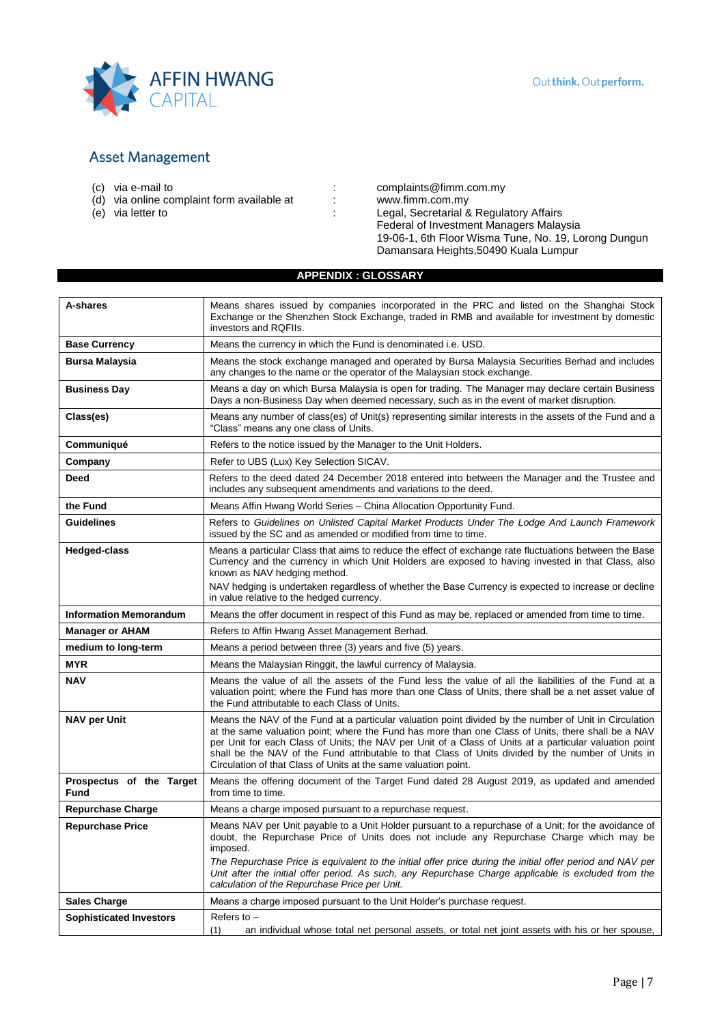

- 
- $\overrightarrow{d}$  via online complaint form available at :<br>
(e) via letter to :
- 

(c) via e-mail to  $\begin{array}{ccc} \text{(c)} & \text{via } e\text{-mail to} \\ \text{(d)} & \text{via } \text{online } \text{complain}t \text{ form } \text{available at} \\ \end{array}$  : [complaints@fimm.com.my](mailto:complaints@fimm.com.my) www.fimm.com.my<br>
Legal, Secretarial & Regulatory Affairs Federal of Investment Managers Malaysia 19-06-1, 6th Floor Wisma Tune, No. 19, Lorong Dungun Damansara Heights,50490 Kuala Lumpur

### **APPENDIX : GLOSSARY**

| A-shares                         | Means shares issued by companies incorporated in the PRC and listed on the Shanghai Stock<br>Exchange or the Shenzhen Stock Exchange, traded in RMB and available for investment by domestic<br>investors and RQFIIs.                                                                                                                                                                                                                                                                           |
|----------------------------------|-------------------------------------------------------------------------------------------------------------------------------------------------------------------------------------------------------------------------------------------------------------------------------------------------------------------------------------------------------------------------------------------------------------------------------------------------------------------------------------------------|
| <b>Base Currency</b>             | Means the currency in which the Fund is denominated i.e. USD.                                                                                                                                                                                                                                                                                                                                                                                                                                   |
| Bursa Malaysia                   | Means the stock exchange managed and operated by Bursa Malaysia Securities Berhad and includes<br>any changes to the name or the operator of the Malaysian stock exchange.                                                                                                                                                                                                                                                                                                                      |
| <b>Business Day</b>              | Means a day on which Bursa Malaysia is open for trading. The Manager may declare certain Business<br>Days a non-Business Day when deemed necessary, such as in the event of market disruption.                                                                                                                                                                                                                                                                                                  |
| Class(es)                        | Means any number of class(es) of Unit(s) representing similar interests in the assets of the Fund and a<br>"Class" means any one class of Units.                                                                                                                                                                                                                                                                                                                                                |
| Communiqué                       | Refers to the notice issued by the Manager to the Unit Holders.                                                                                                                                                                                                                                                                                                                                                                                                                                 |
| Company                          | Refer to UBS (Lux) Key Selection SICAV.                                                                                                                                                                                                                                                                                                                                                                                                                                                         |
| <b>Deed</b>                      | Refers to the deed dated 24 December 2018 entered into between the Manager and the Trustee and<br>includes any subsequent amendments and variations to the deed.                                                                                                                                                                                                                                                                                                                                |
| the Fund                         | Means Affin Hwang World Series - China Allocation Opportunity Fund.                                                                                                                                                                                                                                                                                                                                                                                                                             |
| <b>Guidelines</b>                | Refers to Guidelines on Unlisted Capital Market Products Under The Lodge And Launch Framework<br>issued by the SC and as amended or modified from time to time.                                                                                                                                                                                                                                                                                                                                 |
| <b>Hedged-class</b>              | Means a particular Class that aims to reduce the effect of exchange rate fluctuations between the Base<br>Currency and the currency in which Unit Holders are exposed to having invested in that Class, also<br>known as NAV hedging method.                                                                                                                                                                                                                                                    |
|                                  | NAV hedging is undertaken regardless of whether the Base Currency is expected to increase or decline<br>in value relative to the hedged currency.                                                                                                                                                                                                                                                                                                                                               |
| <b>Information Memorandum</b>    | Means the offer document in respect of this Fund as may be, replaced or amended from time to time.                                                                                                                                                                                                                                                                                                                                                                                              |
| <b>Manager or AHAM</b>           | Refers to Affin Hwang Asset Management Berhad.                                                                                                                                                                                                                                                                                                                                                                                                                                                  |
| medium to long-term              | Means a period between three (3) years and five (5) years.                                                                                                                                                                                                                                                                                                                                                                                                                                      |
| <b>MYR</b>                       | Means the Malaysian Ringgit, the lawful currency of Malaysia.                                                                                                                                                                                                                                                                                                                                                                                                                                   |
| <b>NAV</b>                       | Means the value of all the assets of the Fund less the value of all the liabilities of the Fund at a<br>valuation point; where the Fund has more than one Class of Units, there shall be a net asset value of<br>the Fund attributable to each Class of Units.                                                                                                                                                                                                                                  |
| <b>NAV per Unit</b>              | Means the NAV of the Fund at a particular valuation point divided by the number of Unit in Circulation<br>at the same valuation point; where the Fund has more than one Class of Units, there shall be a NAV<br>per Unit for each Class of Units; the NAV per Unit of a Class of Units at a particular valuation point<br>shall be the NAV of the Fund attributable to that Class of Units divided by the number of Units in<br>Circulation of that Class of Units at the same valuation point. |
| Prospectus of the Target<br>Fund | Means the offering document of the Target Fund dated 28 August 2019, as updated and amended<br>from time to time.                                                                                                                                                                                                                                                                                                                                                                               |
| <b>Repurchase Charge</b>         | Means a charge imposed pursuant to a repurchase request.                                                                                                                                                                                                                                                                                                                                                                                                                                        |
| <b>Repurchase Price</b>          | Means NAV per Unit payable to a Unit Holder pursuant to a repurchase of a Unit; for the avoidance of<br>doubt, the Repurchase Price of Units does not include any Repurchase Charge which may be<br>imposed.<br>The Repurchase Price is equivalent to the initial offer price during the initial offer period and NAV per                                                                                                                                                                       |
|                                  | Unit after the initial offer period. As such, any Repurchase Charge applicable is excluded from the<br>calculation of the Repurchase Price per Unit.                                                                                                                                                                                                                                                                                                                                            |
| <b>Sales Charge</b>              | Means a charge imposed pursuant to the Unit Holder's purchase request.                                                                                                                                                                                                                                                                                                                                                                                                                          |
| <b>Sophisticated Investors</b>   | Refers to $-$<br>an individual whose total net personal assets, or total net joint assets with his or her spouse,<br>(1)                                                                                                                                                                                                                                                                                                                                                                        |